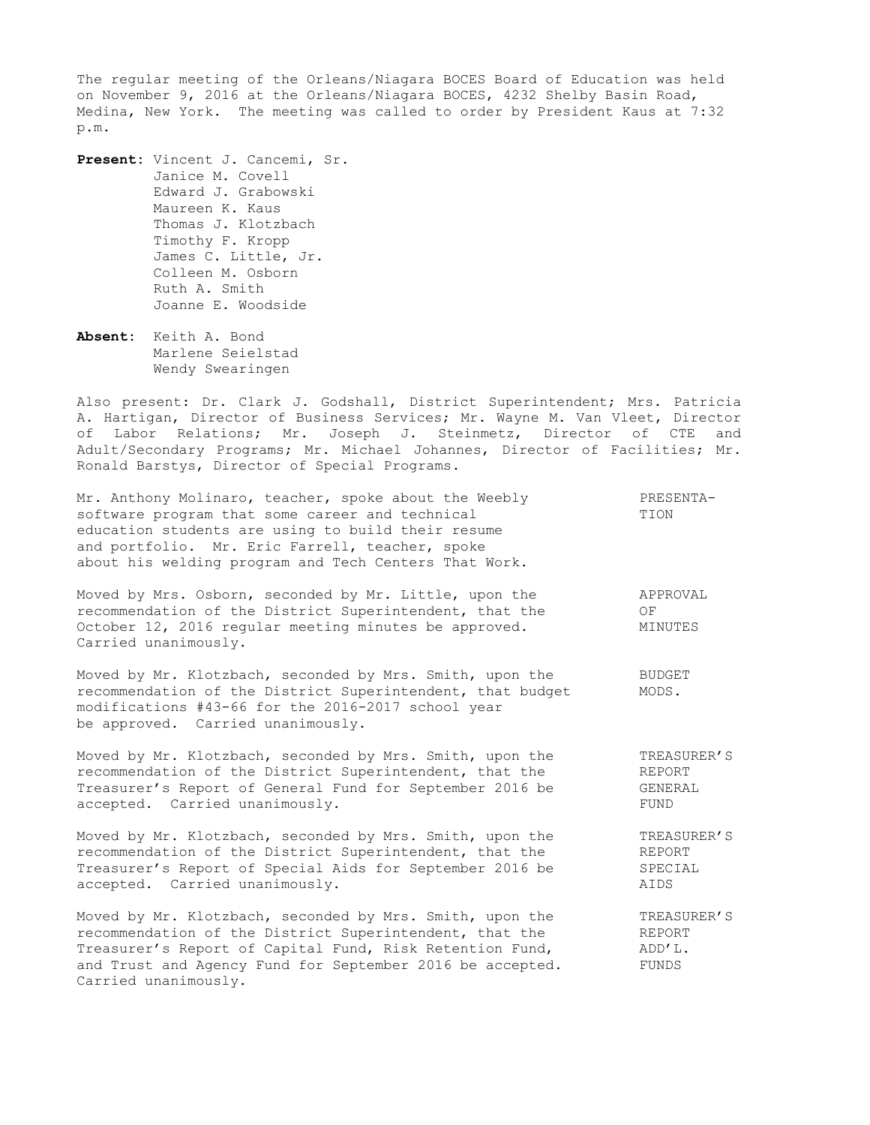The regular meeting of the Orleans/Niagara BOCES Board of Education was held on November 9, 2016 at the Orleans/Niagara BOCES, 4232 Shelby Basin Road, Medina, New York. The meeting was called to order by President Kaus at 7:32 p.m.

**Present:** Vincent J. Cancemi, Sr. Janice M. Covell Edward J. Grabowski Maureen K. Kaus Thomas J. Klotzbach Timothy F. Kropp James C. Little, Jr. Colleen M. Osborn Ruth A. Smith Joanne E. Woodside

**Absent:** Keith A. Bond Marlene Seielstad Wendy Swearingen

Also present: Dr. Clark J. Godshall, District Superintendent; Mrs. Patricia A. Hartigan, Director of Business Services; Mr. Wayne M. Van Vleet, Director of Labor Relations; Mr. Joseph J. Steinmetz, Director of CTE and Adult/Secondary Programs; Mr. Michael Johannes, Director of Facilities; Mr. Ronald Barstys, Director of Special Programs.

Mr. Anthony Molinaro, teacher, spoke about the Weebly PRESENTAsoftware program that some career and technical TION education students are using to build their resume and portfolio. Mr. Eric Farrell, teacher, spoke about his welding program and Tech Centers That Work. Moved by Mrs. Osborn, seconded by Mr. Little, upon the APPROVAL recommendation of the District Superintendent, that the OF<br>Ostaber 12, 2016 recular meeting minutes be approved MIN October 12, 2016 regular meeting minutes be approved. MINUTES Carried unanimously. Moved by Mr. Klotzbach, seconded by Mrs. Smith, upon the BUDGET Moved by Mr. Klotzbach, seconded by Mrs. Smith, upon the BUDGE'<br>recommendation of the District Superintendent, that budget MODS. modifications #43-66 for the 2016-2017 school year be approved. Carried unanimously. Moved by Mr. Klotzbach, seconded by Mrs. Smith, upon the TREASURER'S recommendation of the District Superintendent, that the REPORT Treasurer's Report of General Fund for September 2016 be GENERAL accepted. Carried unanimously. The contract of the set of the set of the set of the set of the set of the set of the set of the set of the set of the set of the set of the set of the set of the set of the set of the set of Moved by Mr. Klotzbach, seconded by Mrs. Smith, upon the TREASURER'S

recommendation of the District Superintendent, that the REPORT Treasurer's Report of Special Aids for September 2016 be SPECIAL accepted. Carried unanimously. AIDS

Moved by Mr. Klotzbach, seconded by Mrs. Smith, upon the TREASURER'S recommendation of the District Superintendent, that the REPORT Treasurer's Report of Capital Fund, Risk Retention Fund,  $ADD'L$ . and Trust and Agency Fund for September 2016 be accepted. FUNDS Carried unanimously.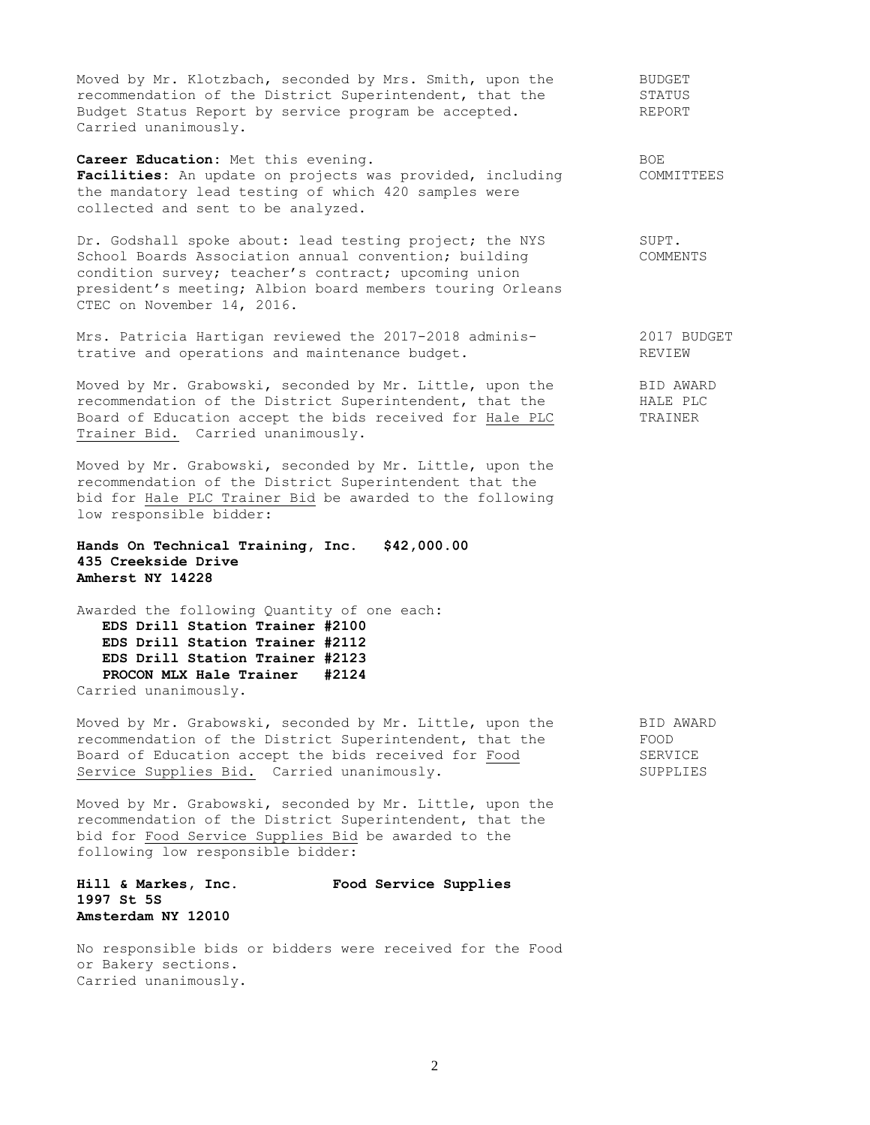Moved by Mr. Klotzbach, seconded by Mrs. Smith, upon the BUDGET recommendation of the District Superintendent, that the STATUS Budget Status Report by service program be accepted. The REPORT Carried unanimously.

**Career Education:** Met this evening. The state of the state of  $BOE$ Facilities: An update on projects was provided, including COMMITTEES the mandatory lead testing of which 420 samples were collected and sent to be analyzed.

Dr. Godshall spoke about: lead testing project; the NYS SUPT.<br>School Boards Association annual convention; building SCOMMENTS School Boards Association annual convention; building condition survey; teacher's contract; upcoming union president's meeting; Albion board members touring Orleans CTEC on November 14, 2016.

Mrs. Patricia Hartigan reviewed the 2017-2018 adminis- 2017 BUDGET trative and operations and maintenance budget. The REVIEW

Moved by Mr. Grabowski, seconded by Mr. Little, upon the BID AWARD recommendation of the District Superintendent, that the **HALE PLC** Board of Education accept the bids received for Hale PLC TRAINER Trainer Bid. Carried unanimously.

Moved by Mr. Grabowski, seconded by Mr. Little, upon the recommendation of the District Superintendent that the bid for Hale PLC Trainer Bid be awarded to the following low responsible bidder:

**Hands On Technical Training, Inc. \$42,000.00 435 Creekside Drive Amherst NY 14228**

Awarded the following Quantity of one each**: EDS Drill Station Trainer #2100 EDS Drill Station Trainer #2112 EDS Drill Station Trainer #2123 PROCON MLX Hale Trainer #2124** Carried unanimously.

Moved by Mr. Grabowski, seconded by Mr. Little, upon the BID AWARD recommendation of the District Superintendent, that the FOOD Board of Education accept the bids received for Food<br>Service Supplies Bid. Carried unanimously. SUPPLIES Service Supplies Bid. Carried unanimously.

Moved by Mr. Grabowski, seconded by Mr. Little, upon the recommendation of the District Superintendent, that the bid for Food Service Supplies Bid be awarded to the following low responsible bidder:

**Hill & Markes, Inc. Food Service Supplies 1997 St 5S Amsterdam NY 12010**

No responsible bids or bidders were received for the Food or Bakery sections. Carried unanimously.

2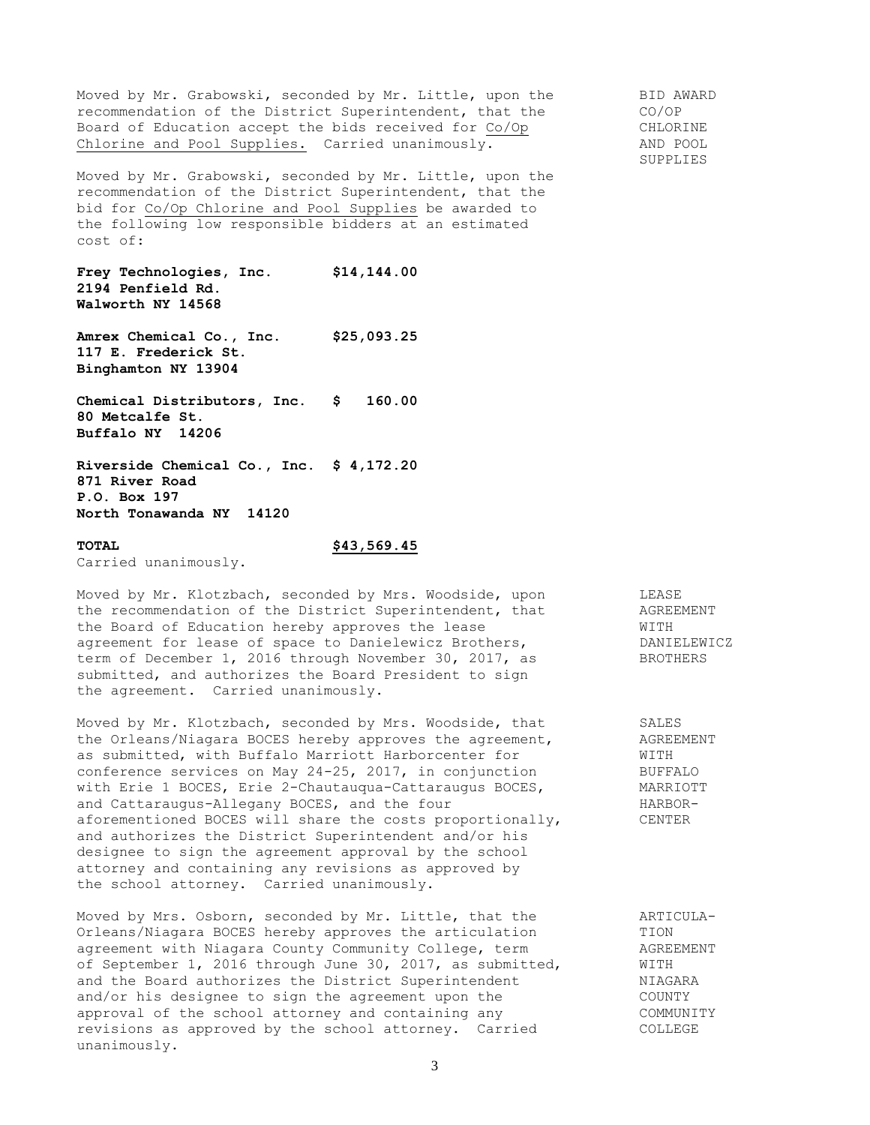Moved by Mr. Grabowski, seconded by Mr. Little, upon the BID AWARD<br>recommendation of the District Superintendent, that the CO/OP recommendation of the District Superintendent, that the Board of Education accept the bids received for Co/Op CHLORINE Chlorine and Pool Supplies. Carried unanimously. The MAND POOL

Moved by Mr. Grabowski, seconded by Mr. Little, upon the recommendation of the District Superintendent, that the bid for Co/Op Chlorine and Pool Supplies be awarded to the following low responsible bidders at an estimated cost of:

**Frey Technologies, Inc. \$14,144.00 2194 Penfield Rd. Walworth NY 14568**

**Amrex Chemical Co., Inc. \$25,093.25 117 E. Frederick St. Binghamton NY 13904**

**Chemical Distributors, Inc. \$ 160.00 80 Metcalfe St. Buffalo NY 14206**

**Riverside Chemical Co., Inc. \$ 4,172.20 871 River Road P.O. Box 197 North Tonawanda NY 14120**

## **TOTAL \$43,569.45**

Carried unanimously.

Moved by Mr. Klotzbach, seconded by Mrs. Woodside, upon LEASE the recommendation of the District Superintendent, that AGREEMENT the Board of Education hereby approves the lease WITH agreement for lease of space to Danielewicz Brothers, The DANIELEWICZ term of December 1, 2016 through November 30, 2017, as BROTHERS submitted, and authorizes the Board President to sign the agreement. Carried unanimously.

Moved by Mr. Klotzbach, seconded by Mrs. Woodside, that SALES the Orleans/Niagara BOCES hereby approves the agreement, AGREEMENT as submitted, with Buffalo Marriott Harborcenter for WITH conference services on May 24-25, 2017, in conjunction BUFFALO with Erie 1 BOCES, Erie 2-Chautauqua-Cattaraugus BOCES, MARRIOTT and Cattaraugus-Allegany BOCES, and the four Franchise HARBORaforementioned BOCES will share the costs proportionally, CENTER and authorizes the District Superintendent and/or his designee to sign the agreement approval by the school attorney and containing any revisions as approved by the school attorney. Carried unanimously.

Moved by Mrs. Osborn, seconded by Mr. Little, that the ARTICULA-<br>Orleans/Niagara BOCES hereby approves the articulation TION Orleans/Niagara BOCES hereby approves the articulation TION agreement with Niagara County Community College, term AGREEMENT of September 1, 2016 through June 30, 2017, as submitted, WITH and the Board authorizes the District Superintendent MIAGARA and/or his designee to sign the agreement upon the Theorem COUNTY approval of the school attorney and containing any Theory COMMUNITY revisions as approved by the school attorney. Carried COLLEGE unanimously.

SUPPLIES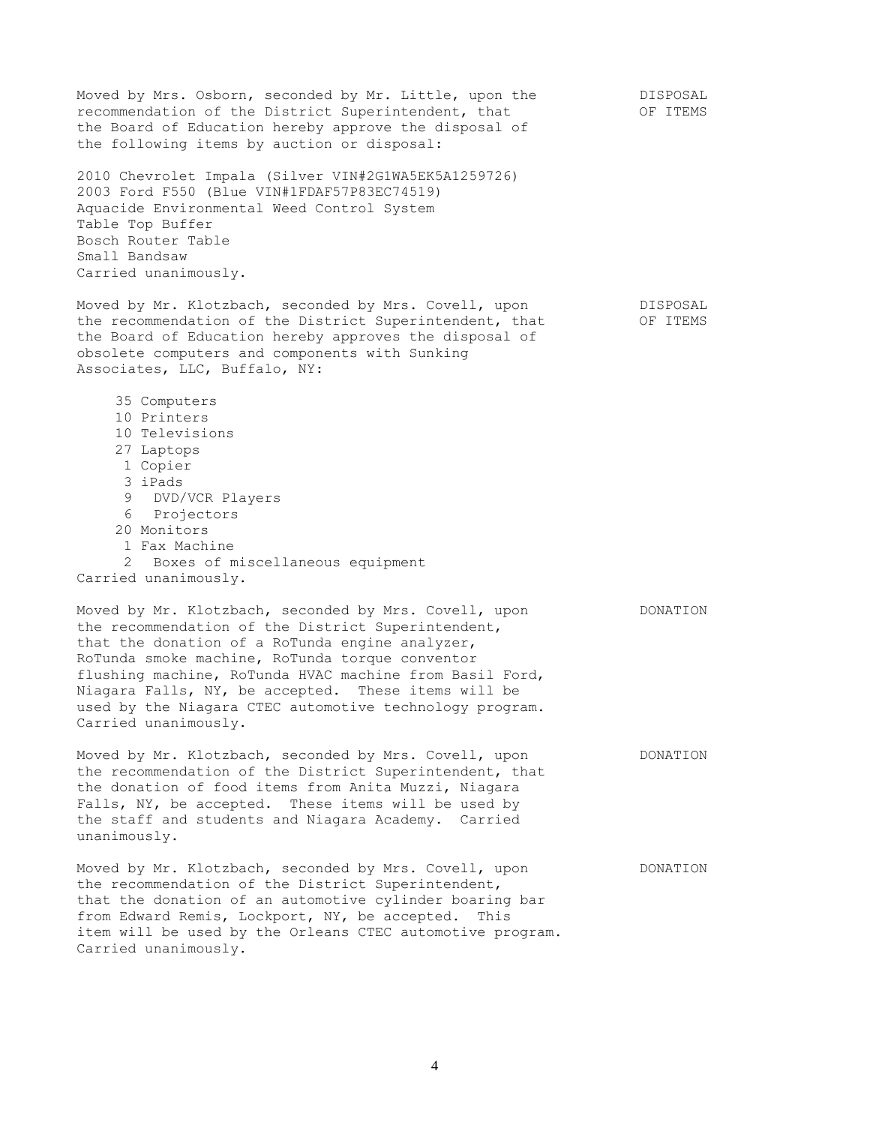Moved by Mrs. Osborn, seconded by Mr. Little, upon the DISPOSAL recommendation of the District Superintendent, that  $OF$  ITEMS the Board of Education hereby approve the disposal of the following items by auction or disposal: 2010 Chevrolet Impala (Silver VIN#2G1WA5EK5A1259726) 2003 Ford F550 (Blue VIN#1FDAF57P83EC74519) Aquacide Environmental Weed Control System Table Top Buffer Bosch Router Table Small Bandsaw Carried unanimously. Moved by Mr. Klotzbach, seconded by Mrs. Covell, upon DISPOSAL the recommendation of the District Superintendent, that OF ITEMS the Board of Education hereby approves the disposal of obsolete computers and components with Sunking Associates, LLC, Buffalo, NY: 35 Computers 10 Printers 10 Televisions 27 Laptops 1 Copier 3 iPads 9 DVD/VCR Players 6 Projectors 20 Monitors 1 Fax Machine 2 Boxes of miscellaneous equipment Carried unanimously. Moved by Mr. Klotzbach, seconded by Mrs. Covell, upon DONATION the recommendation of the District Superintendent, that the donation of a RoTunda engine analyzer, RoTunda smoke machine, RoTunda torque conventor flushing machine, RoTunda HVAC machine from Basil Ford, Niagara Falls, NY, be accepted. These items will be used by the Niagara CTEC automotive technology program. Carried unanimously. Moved by Mr. Klotzbach, seconded by Mrs. Covell, upon DONATION the recommendation of the District Superintendent, that the donation of food items from Anita Muzzi, Niagara Falls, NY, be accepted. These items will be used by the staff and students and Niagara Academy. Carried unanimously. Moved by Mr. Klotzbach, seconded by Mrs. Covell, upon DONATION the recommendation of the District Superintendent, that the donation of an automotive cylinder boaring bar from Edward Remis, Lockport, NY, be accepted. This item will be used by the Orleans CTEC automotive program. Carried unanimously.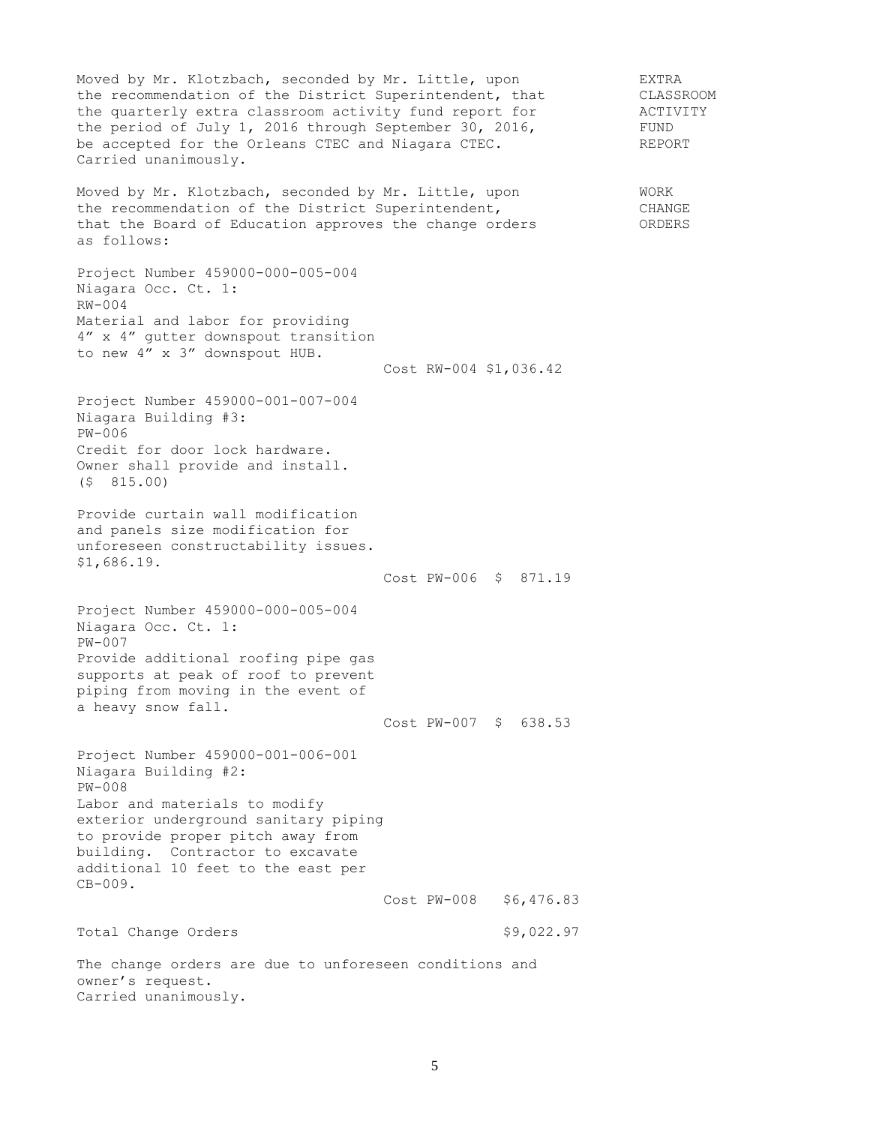Moved by Mr. Klotzbach, seconded by Mr. Little, upon EXTRA the recommendation of the District Superintendent, that CLASSROOM<br>the quarterly extra classroom activity fund report for ACTIVITY the quarterly extra classroom activity fund report for The ACTIVITY the period of July 1, 2016 through September 30, 2016, FUND be accepted for the Orleans CTEC and Niagara CTEC. The REPORT Carried unanimously. Moved by Mr. Klotzbach, seconded by Mr. Little, upon WORK the recommendation of the District Superintendent, CHANGE that the Board of Education approves the change orders ORDERS as follows: Project Number 459000-000-005-004 Niagara Occ. Ct. 1: RW-004 Material and labor for providing 4" x 4" gutter downspout transition to new 4" x 3" downspout HUB. Cost RW-004 \$1,036.42 Project Number 459000-001-007-004 Niagara Building #3: PW-006 Credit for door lock hardware. Owner shall provide and install. (\$ 815.00) Provide curtain wall modification and panels size modification for unforeseen constructability issues. \$1,686.19. Cost PW-006 \$ 871.19 Project Number 459000-000-005-004 Niagara Occ. Ct. 1: PW-007 Provide additional roofing pipe gas supports at peak of roof to prevent piping from moving in the event of a heavy snow fall. Cost PW-007 \$ 638.53 Project Number 459000-001-006-001 Niagara Building #2: PW-008 Labor and materials to modify exterior underground sanitary piping to provide proper pitch away from building. Contractor to excavate additional 10 feet to the east per CB-009. Cost PW-008 \$6,476.83 Total Change Orders  $$9,022.97$ The change orders are due to unforeseen conditions and owner's request. Carried unanimously.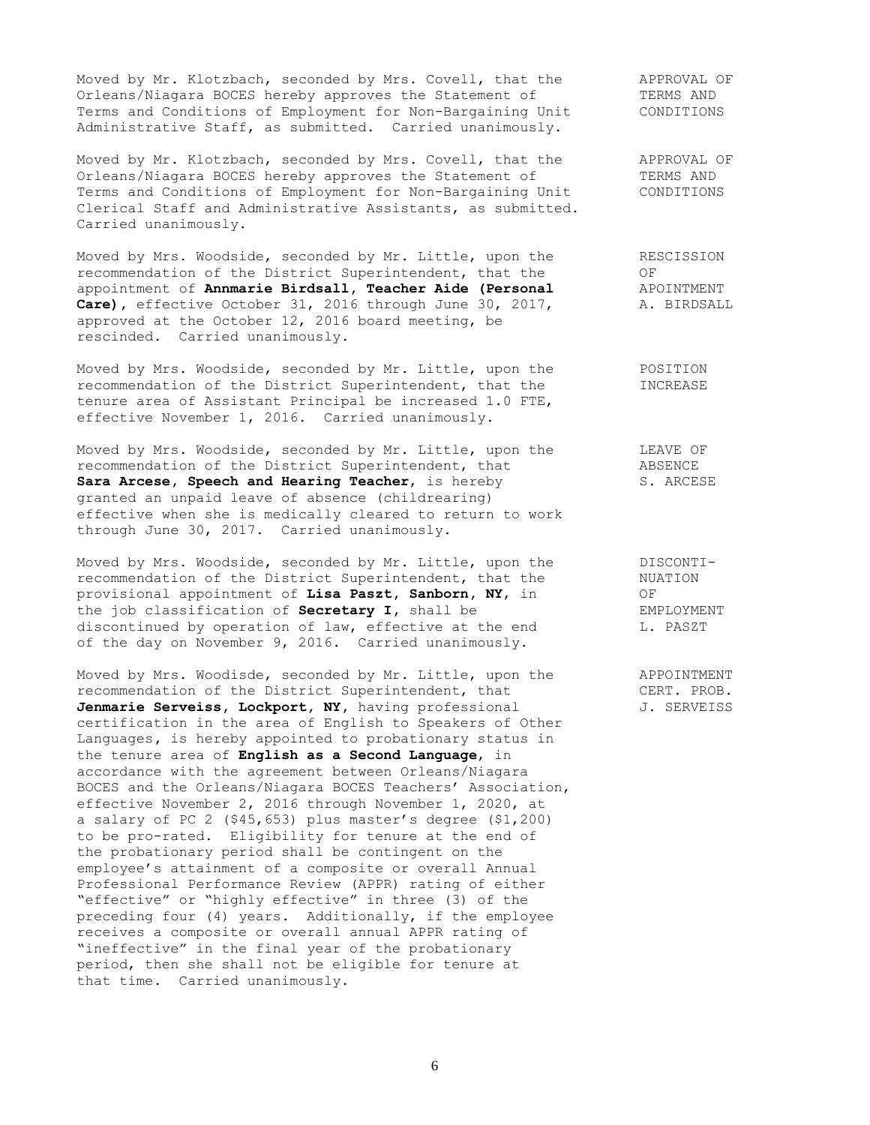Moved by Mr. Klotzbach, seconded by Mrs. Covell, that the APPROVAL OF Orleans/Niagara BOCES hereby approves the Statement of TERMS AND Orleans/Niagara BOCES hereby approves the Statement of TERMS AND<br>Terms and Conditions of Employment for Non-Bargaining Unit CONDITIONS Terms and Conditions of Employment for Non-Bargaining Unit Administrative Staff, as submitted. Carried unanimously.

Moved by Mr. Klotzbach, seconded by Mrs. Covell, that the APPROVAL OF Orleans/Niagara BOCES hereby approves the Statement of TERMS AND Terms and Conditions of Employment for Non-Bargaining Unit CONDITIONS Clerical Staff and Administrative Assistants, as submitted. Carried unanimously.

Moved by Mrs. Woodside, seconded by Mr. Little, upon the RESCISSION recommendation of the District Superintendent, that the  $OF$ appointment of **Annmarie Birdsall, Teacher Aide (Personal** APOINTMENT **Care),** effective October 31, 2016 through June 30, 2017, A. BIRDSALL approved at the October 12, 2016 board meeting, be rescinded. Carried unanimously.

Moved by Mrs. Woodside, seconded by Mr. Little, upon the POSITION recommendation of the District Superintendent, that the INCREASE tenure area of Assistant Principal be increased 1.0 FTE, effective November 1, 2016. Carried unanimously.

Moved by Mrs. Woodside, seconded by Mr. Little, upon the LEAVE OF recommendation of the District Superintendent, that ABSENCE Sara Arcese, Speech and Hearing Teacher, is hereby S. ARCESE granted an unpaid leave of absence (childrearing) effective when she is medically cleared to return to work through June 30, 2017. Carried unanimously.

Moved by Mrs. Woodside, seconded by Mr. Little, upon the DISCONTIrecommendation of the District Superintendent, that the NUATION provisional appointment of **Lisa Paszt, Sanborn, NY**, in OF the job classification of **Secretary I,** shall be EMPLOYMENT discontinued by operation of law, effective at the end L. PASZT of the day on November 9, 2016. Carried unanimously.

Moved by Mrs. Woodisde, seconded by Mr. Little, upon the APPOINTMENT recommendation of the District Superintendent, that CERT. PROB. recommendation of the District Superintendent, that Jenmarie Serveiss, Lockport, NY, having professional J. SERVEISS certification in the area of English to Speakers of Other Languages**,** is hereby appointed to probationary status in the tenure area of **English as a Second Language**, in accordance with the agreement between Orleans/Niagara BOCES and the Orleans/Niagara BOCES Teachers' Association, effective November 2, 2016 through November 1, 2020, at a salary of PC 2 (\$45,653) plus master's degree (\$1,200) to be pro-rated. Eligibility for tenure at the end of the probationary period shall be contingent on the employee's attainment of a composite or overall Annual Professional Performance Review (APPR) rating of either "effective" or "highly effective" in three (3) of the preceding four (4) years. Additionally, if the employee receives a composite or overall annual APPR rating of "ineffective" in the final year of the probationary period, then she shall not be eligible for tenure at that time. Carried unanimously.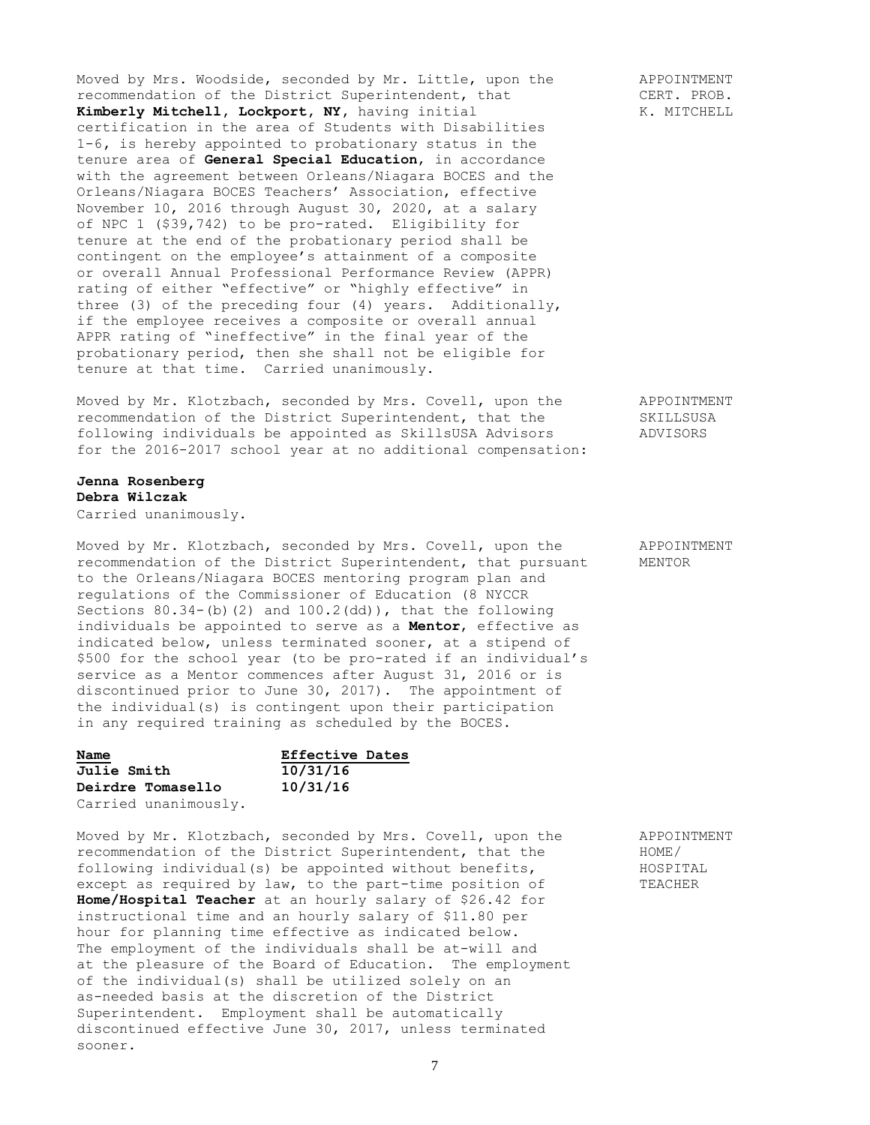Moved by Mrs. Woodside, seconded by Mr. Little, upon the APPOINTMENT recommendation of the District Superintendent, that CERT. PROB.<br> **Kimberly Mitchell, Lockport, NY,** having initial K. MITCHELL Kimberly Mitchell, Lockport, NY, having initial certification in the area of Students with Disabilities 1-6**,** is hereby appointed to probationary status in the tenure area of **General Special Education**, in accordance with the agreement between Orleans/Niagara BOCES and the Orleans/Niagara BOCES Teachers' Association, effective November 10, 2016 through August 30, 2020, at a salary of NPC 1 (\$39,742) to be pro-rated. Eligibility for tenure at the end of the probationary period shall be contingent on the employee's attainment of a composite or overall Annual Professional Performance Review (APPR) rating of either "effective" or "highly effective" in three (3) of the preceding four (4) years. Additionally, if the employee receives a composite or overall annual APPR rating of "ineffective" in the final year of the probationary period, then she shall not be eligible for tenure at that time. Carried unanimously.

Moved by Mr. Klotzbach, seconded by Mrs. Covell, upon the APPOINTMENT recommendation of the District Superintendent, that the SKILLSUSA following individuals be appointed as SkillsUSA Advisors ADVISORS for the 2016-2017 school year at no additional compensation:

**Jenna Rosenberg Debra Wilczak** Carried unanimously.

Moved by Mr. Klotzbach, seconded by Mrs. Covell, upon the APPOINTMENT recommendation of the District Superintendent, that pursuant MENTOR to the Orleans/Niagara BOCES mentoring program plan and regulations of the Commissioner of Education (8 NYCCR Sections  $80.34-(b)$  (2) and  $100.2$ (dd)), that the following individuals be appointed to serve as a **Mentor**, effective as indicated below, unless terminated sooner, at a stipend of \$500 for the school year (to be pro-rated if an individual's service as a Mentor commences after August 31, 2016 or is discontinued prior to June 30, 2017). The appointment of the individual(s) is contingent upon their participation in any required training as scheduled by the BOCES.

| Name                 | Effective Dates |  |
|----------------------|-----------------|--|
| <b>Julie Smith</b>   | 10/31/16        |  |
| Deirdre Tomasello    | 10/31/16        |  |
| Carried unanimously. |                 |  |

Moved by Mr. Klotzbach, seconded by Mrs. Covell, upon the APPOINTMENT recommendation of the District Superintendent, that the HOME/ following individual(s) be appointed without benefits, HOSPITAL except as required by law, to the part-time position of TEACHER **Home/Hospital Teacher** at an hourly salary of \$26.42 for instructional time and an hourly salary of \$11.80 per hour for planning time effective as indicated below. The employment of the individuals shall be at-will and at the pleasure of the Board of Education. The employment of the individual(s) shall be utilized solely on an as-needed basis at the discretion of the District Superintendent. Employment shall be automatically discontinued effective June 30, 2017, unless terminated sooner.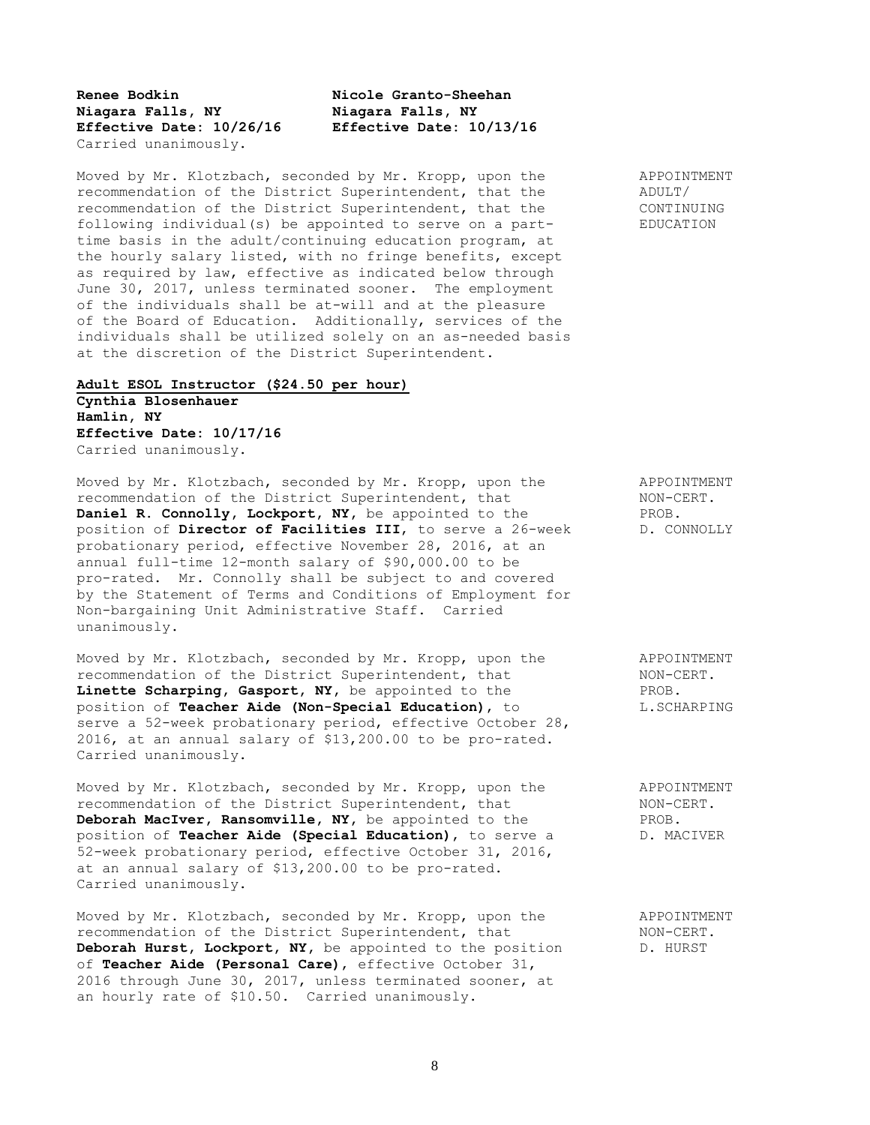**Renee Bodkin Nicole Granto-Sheehan Niagara Falls, NY Niagara Falls, NY** Carried unanimously.

**Effective Date: 10/26/16 Effective Date: 10/13/16**

Moved by Mr. Klotzbach, seconded by Mr. Kropp, upon the APPOINTMENT recommendation of the District Superintendent, that the ADULT/ recommendation of the District Superintendent, that the CONTINUING following individual(s) be appointed to serve on a part- EDUCATION time basis in the adult/continuing education program, at the hourly salary listed, with no fringe benefits, except as required by law, effective as indicated below through June 30, 2017, unless terminated sooner. The employment of the individuals shall be at-will and at the pleasure of the Board of Education. Additionally, services of the individuals shall be utilized solely on an as-needed basis at the discretion of the District Superintendent.

## **Adult ESOL Instructor (\$24.50 per hour) Cynthia Blosenhauer Hamlin, NY Effective Date: 10/17/16** Carried unanimously.

Moved by Mr. Klotzbach, seconded by Mr. Kropp, upon the APPOINTMENT recommendation of the District Superintendent, that NON-CERT. **Daniel R. Connolly, Lockport, NY,** be appointed to the PROB. position of **Director of Facilities III**, to serve a 26-week D. CONNOLLY probationary period, effective November 28, 2016, at an annual full-time 12-month salary of \$90,000.00 to be pro-rated. Mr. Connolly shall be subject to and covered by the Statement of Terms and Conditions of Employment for Non-bargaining Unit Administrative Staff. Carried unanimously.

Moved by Mr. Klotzbach, seconded by Mr. Kropp, upon the APPOINTMENT recommendation of the District Superintendent, that NON-CERT. **Linette Scharping, Gasport, NY,** be appointed to the PROB. position of **Teacher Aide (Non-Special Education)**, to L.SCHARPING serve a 52-week probationary period, effective October 28, 2016, at an annual salary of \$13,200.00 to be pro-rated. Carried unanimously.

Moved by Mr. Klotzbach, seconded by Mr. Kropp, upon the APPOINTMENT recommendation of the District Superintendent, that NON-CERT.<br> **Deborah MacIver, Ransomville, NY**, be appointed to the PROB. **Deborah MacIver, Ransomville, NY,** be appointed to the position of **Teacher Aide (Special Education)**, to serve a D. MACIVER 52-week probationary period, effective October 31, 2016, at an annual salary of \$13,200.00 to be pro-rated. Carried unanimously.

Moved by Mr. Klotzbach, seconded by Mr. Kropp, upon the APPOINTMENT recommendation of the District Superintendent, that NON-CERT. **Deborah Hurst, Lockport, NY,** be appointed to the position D. HURST of **Teacher Aide (Personal Care)**, effective October 31, 2016 through June 30, 2017, unless terminated sooner, at an hourly rate of \$10.50. Carried unanimously.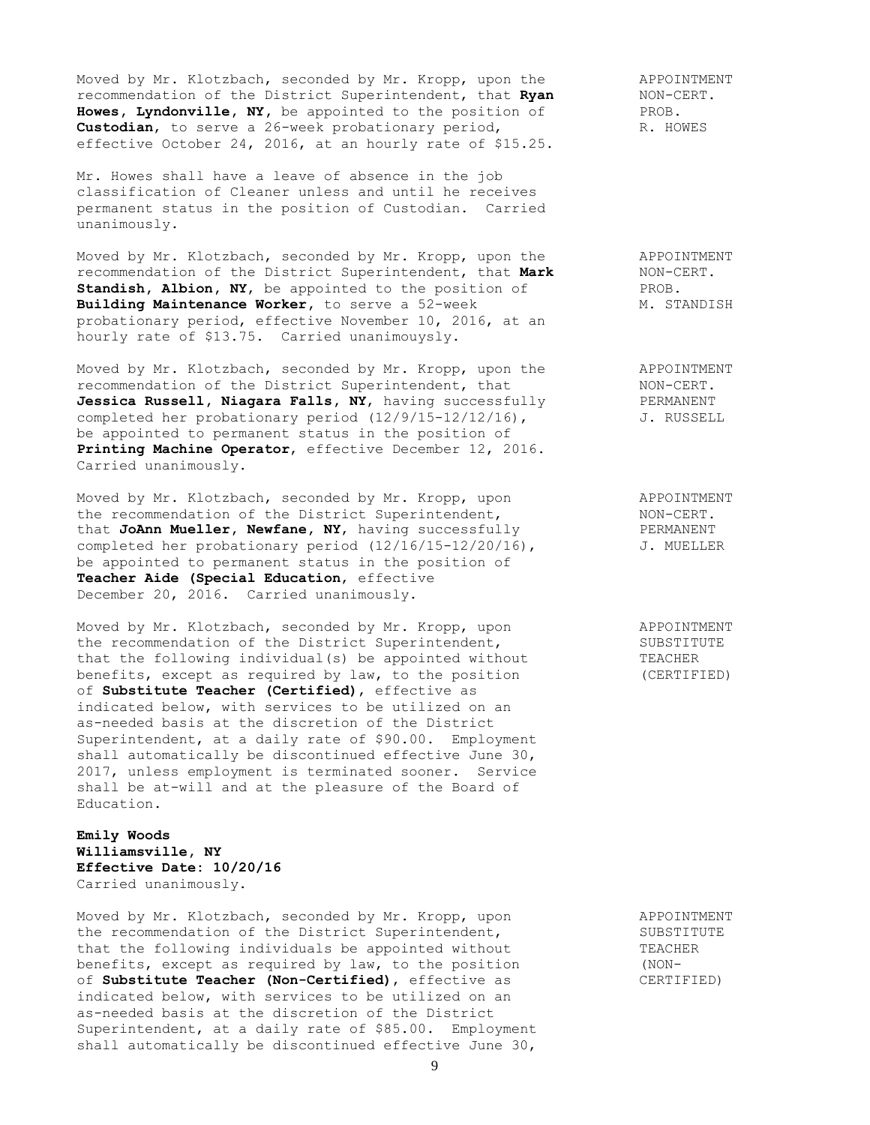Moved by Mr. Klotzbach, seconded by Mr. Kropp, upon the APPOINTMENT recommendation of the District Superintendent, that **Ryan** NON-CERT. **Howes, Lyndonville, NY,** be appointed to the position of PROB. **Custodian,** to serve a 26-week probationary period, R. HOWES effective October 24, 2016, at an hourly rate of \$15.25.

Mr. Howes shall have a leave of absence in the job classification of Cleaner unless and until he receives permanent status in the position of Custodian. Carried unanimously.

Moved by Mr. Klotzbach, seconded by Mr. Kropp, upon the APPOINTMENT recommendation of the District Superintendent, that **Mark** NON-CERT. **Standish, Albion, NY**, be appointed to the position of PROB. Building Maintenance Worker, to serve a 52-week M. STANDISH probationary period, effective November 10, 2016, at an hourly rate of \$13.75. Carried unanimouysly.

Moved by Mr. Klotzbach, seconded by Mr. Kropp, upon the APPOINTMENT recommendation of the District Superintendent, that NON-CERT. Jessica Russell, Niagara Falls, NY, having successfully PERMANENT completed her probationary period (12/9/15-12/12/16), J. RUSSELL be appointed to permanent status in the position of **Printing Machine Operator**, effective December 12, 2016. Carried unanimously.

Moved by Mr. Klotzbach, seconded by Mr. Kropp, upon APPOINTMENT the recommendation of the District Superintendent, NON-CERT. that **JoAnn Mueller, Newfane, NY,** having successfully PERMANENT<br>completed her probationary period (12/16/15-12/20/16), J. MUELLER completed her probationary period (12/16/15-12/20/16), be appointed to permanent status in the position of **Teacher Aide (Special Education**, effective December 20, 2016. Carried unanimously.

Moved by Mr. Klotzbach, seconded by Mr. Kropp, upon APPOINTMENT the recommendation of the District Superintendent, SUBSTITUTE that the following individual(s) be appointed without TEACHER<br>henefits excent as required by levels in the contract of the contract of the contract of the contract of the contract of the contract of the contract of the con benefits, except as required by law, to the position (CERTIFIED) of **Substitute Teacher (Certified)**, effective as indicated below, with services to be utilized on an as-needed basis at the discretion of the District Superintendent, at a daily rate of \$90.00. Employment shall automatically be discontinued effective June 30, 2017, unless employment is terminated sooner. Service shall be at-will and at the pleasure of the Board of Education.

**Emily Woods Williamsville, NY Effective Date: 10/20/16** Carried unanimously.

Moved by Mr. Klotzbach, seconded by Mr. Kropp, upon APPOINTMENT the recommendation of the District Superintendent, The SUBSTITUTE that the following individuals be appointed without TEACHER benefits, except as required by law, to the position (NONbenefits, except as required by law, to the position<br>of **Substitute Teacher (Non-Certified)**, effective as CERTIFIED) indicated below, with services to be utilized on an as-needed basis at the discretion of the District Superintendent, at a daily rate of \$85.00. Employment shall automatically be discontinued effective June 30,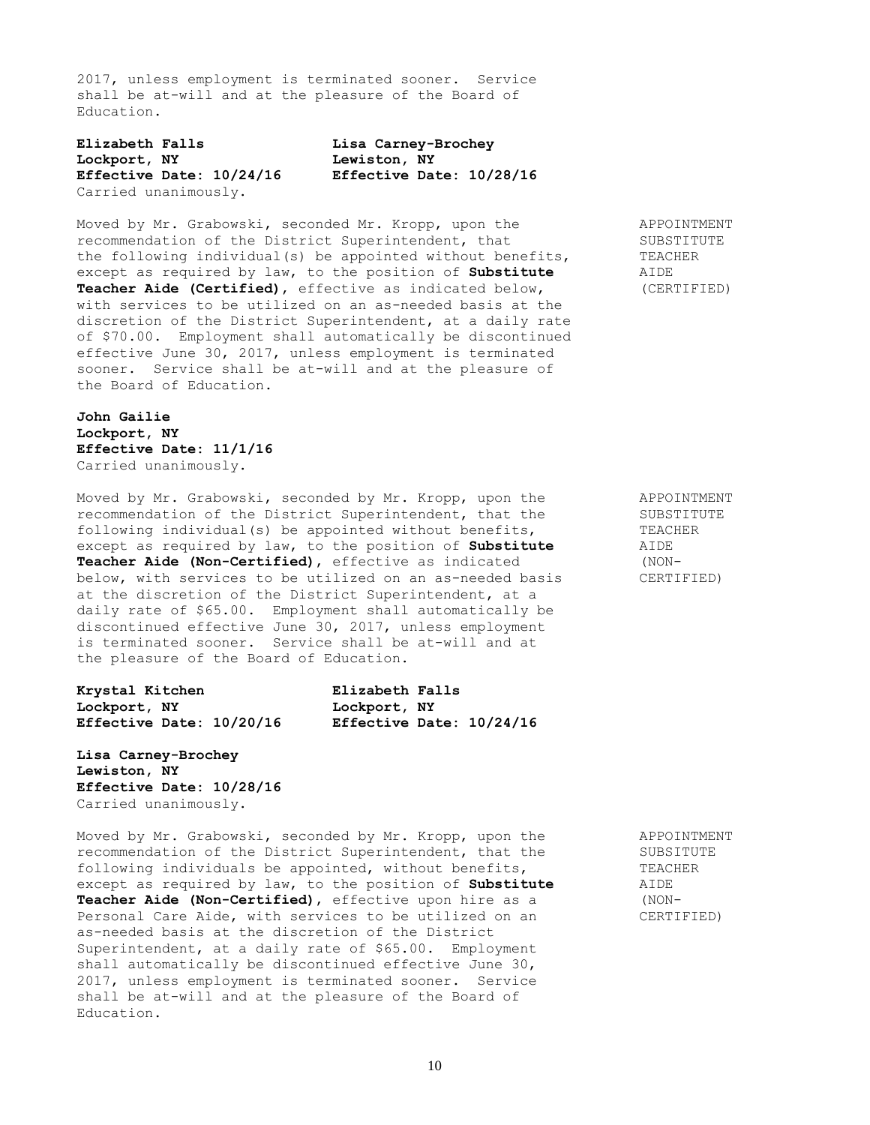2017, unless employment is terminated sooner. Service shall be at-will and at the pleasure of the Board of Education.

**Elizabeth Falls Lisa Carney-Brochey Lockport, NY Lewiston, NY Effective Date: 10/24/16 Effective Date: 10/28/16** Carried unanimously.

Moved by Mr. Grabowski, seconded Mr. Kropp, upon the APPOINTMENT recommendation of the District Superintendent, that SUBSTITUTE recommendation of the District Superintendent, that SUBSTITU<br>the following individual(s) be appointed without benefits, TEACHER the following individual(s) be appointed without benefits, except as required by law, to the position of **Substitute** AIDE **Teacher Aide (Certified)**, effective as indicated below, (CERTIFIED) with services to be utilized on an as-needed basis at the discretion of the District Superintendent, at a daily rate of \$70.00. Employment shall automatically be discontinued effective June 30, 2017, unless employment is terminated sooner. Service shall be at-will and at the pleasure of the Board of Education.

**John Gailie Lockport, NY Effective Date: 11/1/16** Carried unanimously.

Moved by Mr. Grabowski, seconded by Mr. Kropp, upon the APPOINTMENT recommendation of the District Superintendent, that the SUBSTITUTE following individual(s) be appointed without benefits, TEACHER except as required by law, to the position of **Substitute** AIDE **Teacher Aide (Non-Certified)**, effective as indicated (NONbelow, with services to be utilized on an as-needed basis CERTIFIED) at the discretion of the District Superintendent, at a daily rate of \$65.00. Employment shall automatically be discontinued effective June 30, 2017, unless employment is terminated sooner. Service shall be at-will and at the pleasure of the Board of Education.

| Krystal Kitchen          | Elizabeth Falls          |
|--------------------------|--------------------------|
| Lockport, NY             | Lockport, NY             |
| Effective Date: 10/20/16 | Effective Date: 10/24/16 |

**Lisa Carney-Brochey Lewiston, NY Effective Date: 10/28/16** Carried unanimously.

Moved by Mr. Grabowski, seconded by Mr. Kropp, upon the APPOINTMENT recommendation of the District Superintendent, that the SUBSITUTE following individuals be appointed, without benefits, TEACHER except as required by law, to the position of **Substitute** AIDE **Teacher Aide (Non-Certified)**, effective upon hire as a (NON-Personal Care Aide, with services to be utilized on an CERTIFIED) as-needed basis at the discretion of the District Superintendent, at a daily rate of \$65.00. Employment shall automatically be discontinued effective June 30, 2017, unless employment is terminated sooner. Service shall be at-will and at the pleasure of the Board of Education.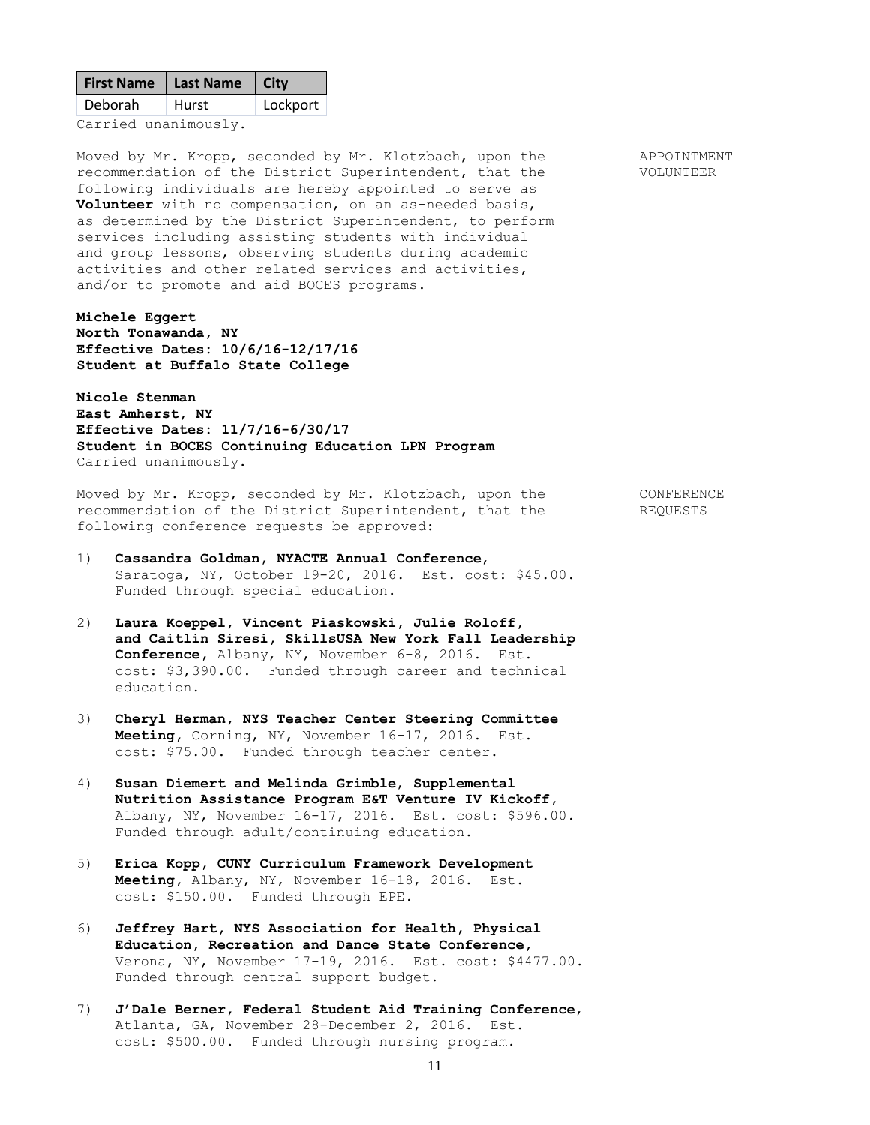| First Name   Last Name   City |              |          |
|-------------------------------|--------------|----------|
| Deborah                       | <b>Hurst</b> | Lockport |
|                               |              |          |

Carried unanimously.

Moved by Mr. Kropp, seconded by Mr. Klotzbach, upon the APPOINTMENT recommendation of the District Superintendent, that the VOLUNTEER following individuals are hereby appointed to serve as **Volunteer** with no compensation, on an as-needed basis, as determined by the District Superintendent, to perform services including assisting students with individual and group lessons, observing students during academic activities and other related services and activities, and/or to promote and aid BOCES programs.

## **Michele Eggert**

**North Tonawanda, NY Effective Dates: 10/6/16-12/17/16 Student at Buffalo State College**

**Nicole Stenman East Amherst, NY Effective Dates: 11/7/16-6/30/17 Student in BOCES Continuing Education LPN Program** Carried unanimously.

Moved by Mr. Kropp, seconded by Mr. Klotzbach, upon the CONFERENCE recommendation of the District Superintendent, that the REQUESTS following conference requests be approved:

- 1) **Cassandra Goldman, NYACTE Annual Conference**, Saratoga, NY, October 19-20, 2016. Est. cost: \$45.00. Funded through special education.
- 2) **Laura Koeppel, Vincent Piaskowski, Julie Roloff, and Caitlin Siresi, SkillsUSA New York Fall Leadership Conference,** Albany, NY, November 6-8, 2016. Est. cost: \$3,390.00. Funded through career and technical education.
- 3) **Cheryl Herman, NYS Teacher Center Steering Committee Meeting,** Corning, NY, November 16-17, 2016. Est. cost: \$75.00. Funded through teacher center.
- 4) **Susan Diemert and Melinda Grimble**, **Supplemental Nutrition Assistance Program E&T Venture IV Kickoff,** Albany, NY, November 16-17, 2016. Est. cost: \$596.00. Funded through adult/continuing education.
- 5) **Erica Kopp, CUNY Curriculum Framework Development Meeting,** Albany, NY, November 16-18, 2016. Est. cost: \$150.00. Funded through EPE.
- 6) **Jeffrey Hart, NYS Association for Health, Physical Education, Recreation and Dance State Conference,** Verona, NY, November 17-19, 2016. Est. cost: \$4477.00. Funded through central support budget.
- 7) **J'Dale Berner, Federal Student Aid Training Conference**, Atlanta, GA, November 28-December 2, 2016. Est. cost: \$500.00. Funded through nursing program.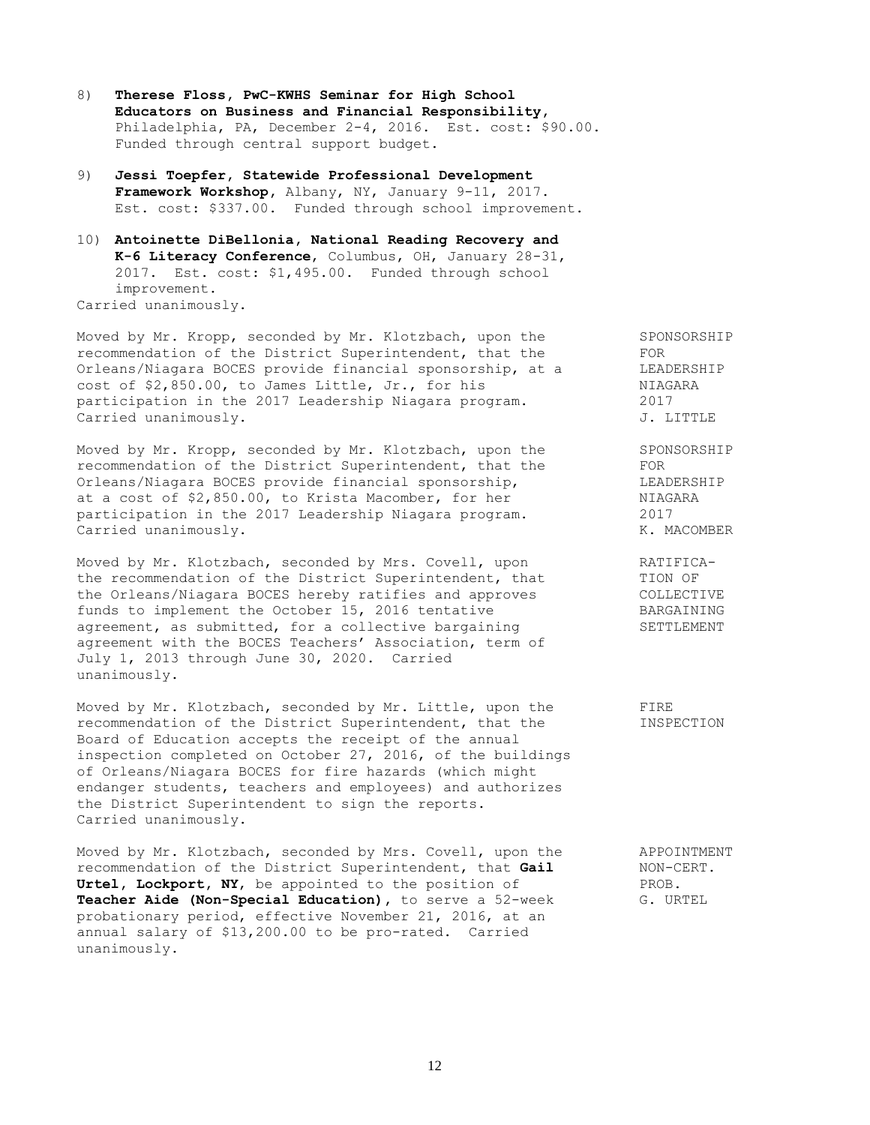- 8) **Therese Floss, PwC-KWHS Seminar for High School Educators on Business and Financial Responsibility,** Philadelphia, PA, December 2-4, 2016. Est. cost: \$90.00. Funded through central support budget.
- 9) **Jessi Toepfer, Statewide Professional Development Framework Workshop,** Albany, NY, January 9-11, 2017. Est. cost: \$337.00. Funded through school improvement.
- 10) **Antoinette DiBellonia, National Reading Recovery and K-6 Literacy Conference**, Columbus, OH, January 28-31, 2017. Est. cost: \$1,495.00. Funded through school improvement. Carried unanimously.

Moved by Mr. Kropp, seconded by Mr. Klotzbach, upon the SPONSORSHIP<br>recommendation of the District Superintendent, that the FOR recommendation of the District Superintendent, that the Orleans/Niagara BOCES provide financial sponsorship, at a LEADERSHIP cost of \$2,850.00, to James Little, Jr., for his NIAGARA participation in the 2017 Leadership Niagara program. 2017 Carried unanimously. The contract of the contract of the contract of the contract of the contract of the contract of the contract of the contract of the contract of the contract of the contract of the contract of the contr

Moved by Mr. Kropp, seconded by Mr. Klotzbach, upon the SPONSORSHIP recommendation of the District Superintendent, that the FOR Orleans/Niagara BOCES provide financial sponsorship, the example in LEADERSHIP at a cost of \$2,850.00, to Krista Macomber, for her NIAGARA participation in the 2017 Leadership Niagara program. 2017 Carried unanimously. The contract of the contract of the contract of the contract of the contract of the contract of the contract of the contract of the contract of the contract of the contract of the contract of the contr

Moved by Mr. Klotzbach, seconded by Mrs. Covell, upon FATIFICAthe recommendation of the District Superintendent, that TION OF the Orleans/Niagara BOCES hereby ratifies and approves COLLECTIVE funds to implement the October 15, 2016 tentative BARGAINING agreement, as submitted, for a collective bargaining SETTLEMENT agreement with the BOCES Teachers' Association, term of July 1, 2013 through June 30, 2020. Carried unanimously.

Moved by Mr. Klotzbach, seconded by Mr. Little, upon the FIRE recommendation of the District Superintendent, that the INSPECTION Board of Education accepts the receipt of the annual inspection completed on October 27, 2016, of the buildings of Orleans/Niagara BOCES for fire hazards (which might endanger students, teachers and employees) and authorizes the District Superintendent to sign the reports. Carried unanimously.

Moved by Mr. Klotzbach, seconded by Mrs. Covell, upon the APPOINTMENT recommendation of the District Superintendent, that **Gail** MON-CERT.<br> **Urtel, Lockport, NY**, be appointed to the position of PROB. Urtel, Lockport, NY, be appointed to the position of **Teacher Aide (Non-Special Education),** to serve a 52-week G. URTEL probationary period, effective November 21, 2016, at an annual salary of \$13,200.00 to be pro-rated. Carried unanimously.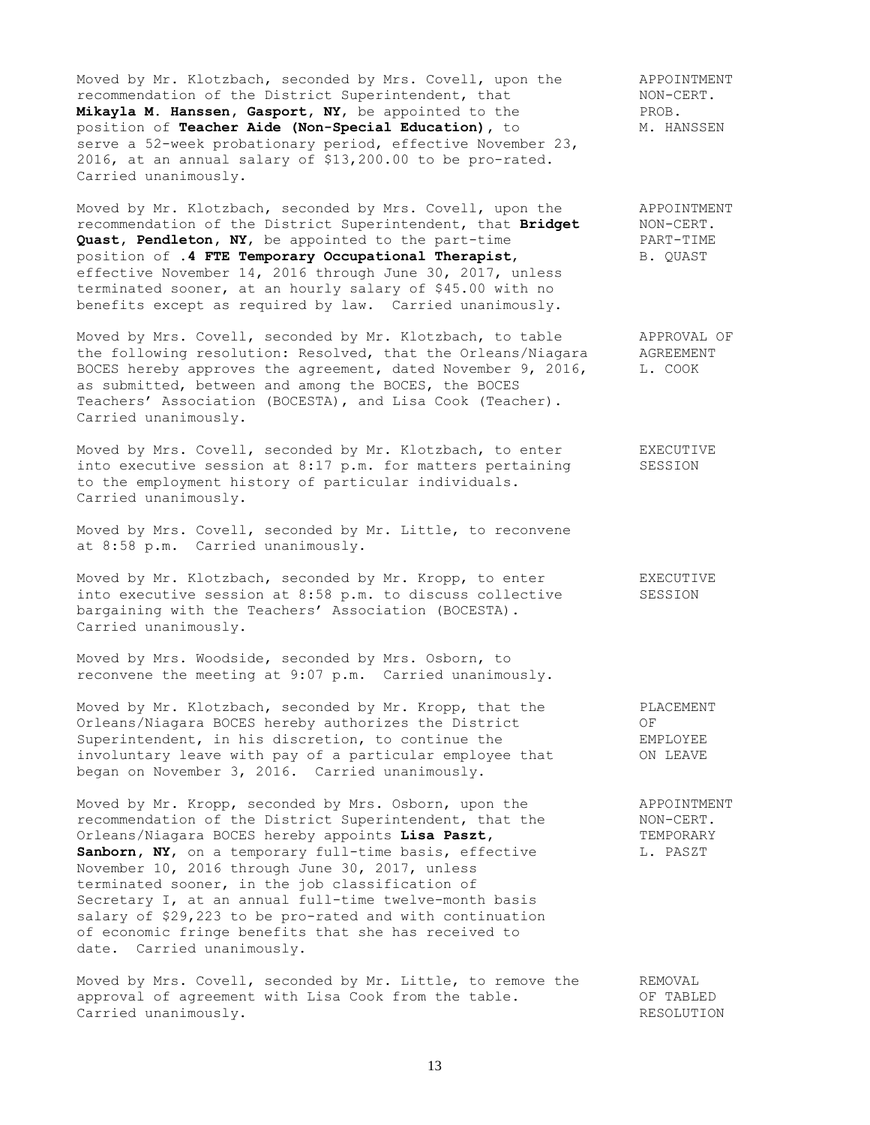Moved by Mr. Klotzbach, seconded by Mrs. Covell, upon the APPOINTMENT<br>recommendation of the District Superintendent, that MON-CERT. recommendation of the District Superintendent, that MON-CI<br> **Mikavla M. Hanssen, Gasport, NY**, be appointed to the PROB. Mikayla M. Hanssen, Gasport, NY, be appointed to the position of **Teacher Aide (Non-Special Education)**, to M. HANSSEN serve a 52-week probationary period, effective November 23, 2016, at an annual salary of \$13,200.00 to be pro-rated. Carried unanimously.

Moved by Mr. Klotzbach, seconded by Mrs. Covell, upon the APPOINTMENT recommendation of the District Superintendent, that **Bridget** NON-CERT. **Quast, Pendleton, NY,** be appointed to the part-time FART-TIME position of **.4 FTE Temporary Occupational Therapist**, B. QUAST effective November 14, 2016 through June 30, 2017, unless terminated sooner, at an hourly salary of \$45.00 with no benefits except as required by law. Carried unanimously.

Moved by Mrs. Covell, seconded by Mr. Klotzbach, to table **APPROVAL OF** the following resolution: Resolved, that the Orleans/Niagara AGREEMENT BOCES hereby approves the agreement, dated November 9, 2016, L. COOK as submitted, between and among the BOCES, the BOCES Teachers' Association (BOCESTA), and Lisa Cook (Teacher). Carried unanimously.

Moved by Mrs. Covell, seconded by Mr. Klotzbach, to enter FXECUTIVE into executive session at 8:17 p.m. for matters pertaining SESSION to the employment history of particular individuals. Carried unanimously.

Moved by Mrs. Covell, seconded by Mr. Little, to reconvene at 8:58 p.m. Carried unanimously.

Moved by Mr. Klotzbach, seconded by Mr. Kropp, to enter EXECUTIVE into executive session at 8:58 p.m. to discuss collective SESSION bargaining with the Teachers' Association (BOCESTA). Carried unanimously.

Moved by Mrs. Woodside, seconded by Mrs. Osborn, to reconvene the meeting at 9:07 p.m. Carried unanimously.

Moved by Mr. Klotzbach, seconded by Mr. Kropp, that the PLACEMENT Moved by Mr. Klotzbach, seconded by the energy of OF<br>Orleans/Niagara BOCES hereby authorizes the District OF Superintendent, in his discretion, to continue the EMPLOYEE involuntary leave with pay of a particular employee that **ON LEAVE** began on November 3, 2016. Carried unanimously.

Moved by Mr. Kropp, seconded by Mrs. Osborn, upon the APPOINTMENT recommendation of the District Superintendent, that the NON-CERT. Orleans/Niagara BOCES hereby appoints **Lisa Paszt,** TEMPORARY Sanborn, NY, on a temporary full-time basis, effective L. PASZT November 10, 2016 through June 30, 2017, unless terminated sooner, in the job classification of Secretary I, at an annual full-time twelve-month basis salary of \$29,223 to be pro-rated and with continuation of economic fringe benefits that she has received to date. Carried unanimously.

Moved by Mrs. Covell, seconded by Mr. Little, to remove the REMOVAL approval of agreement with Lisa Cook from the table. OF TABLED Carried unanimously. The contract of the contract of the contract of the contract of the contract of the contract of the contract of the contract of the contract of the contract of the contract of the contract of the contr